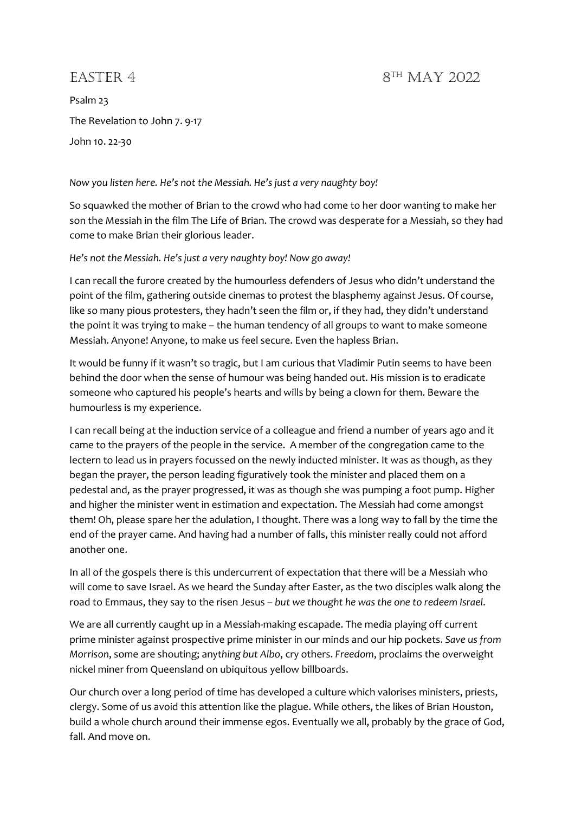## EASTER 4 8TH MAY 2022

Psalm 23 The Revelation to John 7. 9-17 John 10. 22-30

Now you listen here. He's not the Messiah. He's just a very naughty boy!

So squawked the mother of Brian to the crowd who had come to her door wanting to make her son the Messiah in the film The Life of Brian. The crowd was desperate for a Messiah, so they had come to make Brian their glorious leader.

He's not the Messiah. He's just a very naughty boy! Now go away!

I can recall the furore created by the humourless defenders of Jesus who didn't understand the point of the film, gathering outside cinemas to protest the blasphemy against Jesus. Of course, like so many pious protesters, they hadn't seen the film or, if they had, they didn't understand the point it was trying to make – the human tendency of all groups to want to make someone Messiah. Anyone! Anyone, to make us feel secure. Even the hapless Brian.

It would be funny if it wasn't so tragic, but I am curious that Vladimir Putin seems to have been behind the door when the sense of humour was being handed out. His mission is to eradicate someone who captured his people's hearts and wills by being a clown for them. Beware the humourless is my experience.

I can recall being at the induction service of a colleague and friend a number of years ago and it came to the prayers of the people in the service. A member of the congregation came to the lectern to lead us in prayers focussed on the newly inducted minister. It was as though, as they began the prayer, the person leading figuratively took the minister and placed them on a pedestal and, as the prayer progressed, it was as though she was pumping a foot pump. Higher and higher the minister went in estimation and expectation. The Messiah had come amongst them! Oh, please spare her the adulation, I thought. There was a long way to fall by the time the end of the prayer came. And having had a number of falls, this minister really could not afford another one.

In all of the gospels there is this undercurrent of expectation that there will be a Messiah who will come to save Israel. As we heard the Sunday after Easter, as the two disciples walk along the road to Emmaus, they say to the risen Jesus - but we thought he was the one to redeem Israel.

We are all currently caught up in a Messiah-making escapade. The media playing off current prime minister against prospective prime minister in our minds and our hip pockets. Save us from Morrison, some are shouting; anything but Albo, cry others. Freedom, proclaims the overweight nickel miner from Queensland on ubiquitous yellow billboards.

Our church over a long period of time has developed a culture which valorises ministers, priests, clergy. Some of us avoid this attention like the plague. While others, the likes of Brian Houston, build a whole church around their immense egos. Eventually we all, probably by the grace of God, fall. And move on.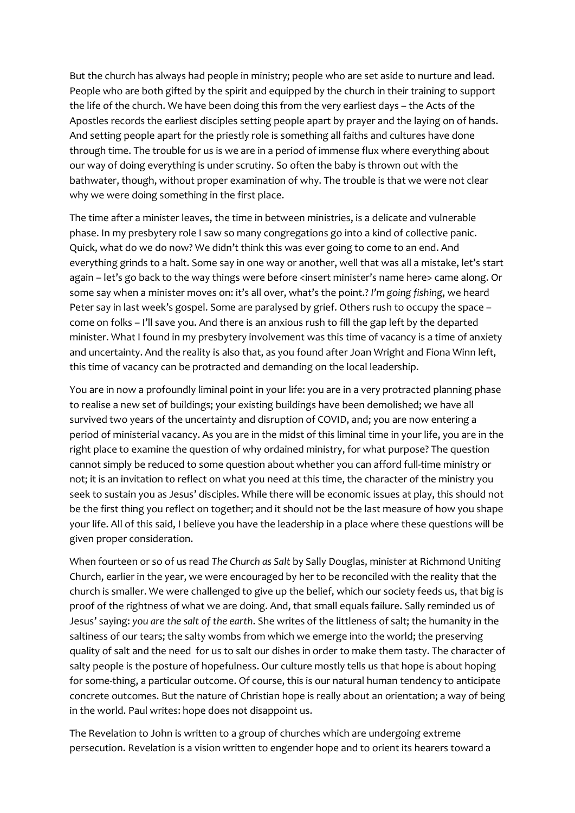But the church has always had people in ministry; people who are set aside to nurture and lead. People who are both gifted by the spirit and equipped by the church in their training to support the life of the church. We have been doing this from the very earliest days – the Acts of the Apostles records the earliest disciples setting people apart by prayer and the laying on of hands. And setting people apart for the priestly role is something all faiths and cultures have done through time. The trouble for us is we are in a period of immense flux where everything about our way of doing everything is under scrutiny. So often the baby is thrown out with the bathwater, though, without proper examination of why. The trouble is that we were not clear why we were doing something in the first place.

The time after a minister leaves, the time in between ministries, is a delicate and vulnerable phase. In my presbytery role I saw so many congregations go into a kind of collective panic. Quick, what do we do now? We didn't think this was ever going to come to an end. And everything grinds to a halt. Some say in one way or another, well that was all a mistake, let's start again – let's go back to the way things were before <insert minister's name here> came along. Or some say when a minister moves on: it's all over, what's the point.? I'm going fishing, we heard Peter say in last week's gospel. Some are paralysed by grief. Others rush to occupy the space – come on folks – I'll save you. And there is an anxious rush to fill the gap left by the departed minister. What I found in my presbytery involvement was this time of vacancy is a time of anxiety and uncertainty. And the reality is also that, as you found after Joan Wright and Fiona Winn left, this time of vacancy can be protracted and demanding on the local leadership.

You are in now a profoundly liminal point in your life: you are in a very protracted planning phase to realise a new set of buildings; your existing buildings have been demolished; we have all survived two years of the uncertainty and disruption of COVID, and; you are now entering a period of ministerial vacancy. As you are in the midst of this liminal time in your life, you are in the right place to examine the question of why ordained ministry, for what purpose? The question cannot simply be reduced to some question about whether you can afford full-time ministry or not; it is an invitation to reflect on what you need at this time, the character of the ministry you seek to sustain you as Jesus' disciples. While there will be economic issues at play, this should not be the first thing you reflect on together; and it should not be the last measure of how you shape your life. All of this said, I believe you have the leadership in a place where these questions will be given proper consideration.

When fourteen or so of us read The Church as Salt by Sally Douglas, minister at Richmond Uniting Church, earlier in the year, we were encouraged by her to be reconciled with the reality that the church is smaller. We were challenged to give up the belief, which our society feeds us, that big is proof of the rightness of what we are doing. And, that small equals failure. Sally reminded us of Jesus' saying: you are the salt of the earth. She writes of the littleness of salt; the humanity in the saltiness of our tears; the salty wombs from which we emerge into the world; the preserving quality of salt and the need for us to salt our dishes in order to make them tasty. The character of salty people is the posture of hopefulness. Our culture mostly tells us that hope is about hoping for some-thing, a particular outcome. Of course, this is our natural human tendency to anticipate concrete outcomes. But the nature of Christian hope is really about an orientation; a way of being in the world. Paul writes: hope does not disappoint us.

The Revelation to John is written to a group of churches which are undergoing extreme persecution. Revelation is a vision written to engender hope and to orient its hearers toward a